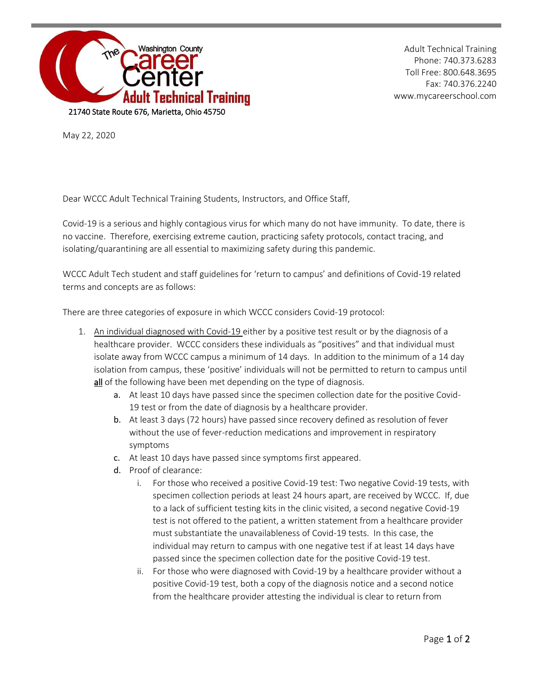

Adult Technical Training Phone: 740.373.6283 Toll Free: 800.648.3695 Fax: 740.376.2240 www.mycareerschool.com

May 22, 2020

Dear WCCC Adult Technical Training Students, Instructors, and Office Staff,

Covid-19 is a serious and highly contagious virus for which many do not have immunity. To date, there is no vaccine. Therefore, exercising extreme caution, practicing safety protocols, contact tracing, and isolating/quarantining are all essential to maximizing safety during this pandemic.

WCCC Adult Tech student and staff guidelines for 'return to campus' and definitions of Covid-19 related terms and concepts are as follows:

There are three categories of exposure in which WCCC considers Covid-19 protocol:

- 1. An individual diagnosed with Covid-19 either by a positive test result or by the diagnosis of a healthcare provider. WCCC considers these individuals as "positives" and that individual must isolate away from WCCC campus a minimum of 14 days. In addition to the minimum of a 14 day isolation from campus, these 'positive' individuals will not be permitted to return to campus until all of the following have been met depending on the type of diagnosis.
	- a. At least 10 days have passed since the specimen collection date for the positive Covid-19 test or from the date of diagnosis by a healthcare provider.
	- b. At least 3 days (72 hours) have passed since recovery defined as resolution of fever without the use of fever-reduction medications and improvement in respiratory symptoms
	- c. At least 10 days have passed since symptoms first appeared.
	- d. Proof of clearance:
		- i. For those who received a positive Covid-19 test: Two negative Covid-19 tests, with specimen collection periods at least 24 hours apart, are received by WCCC. If, due to a lack of sufficient testing kits in the clinic visited, a second negative Covid-19 test is not offered to the patient, a written statement from a healthcare provider must substantiate the unavailableness of Covid-19 tests. In this case, the individual may return to campus with one negative test if at least 14 days have passed since the specimen collection date for the positive Covid-19 test.
		- ii. For those who were diagnosed with Covid-19 by a healthcare provider without a positive Covid-19 test, both a copy of the diagnosis notice and a second notice from the healthcare provider attesting the individual is clear to return from